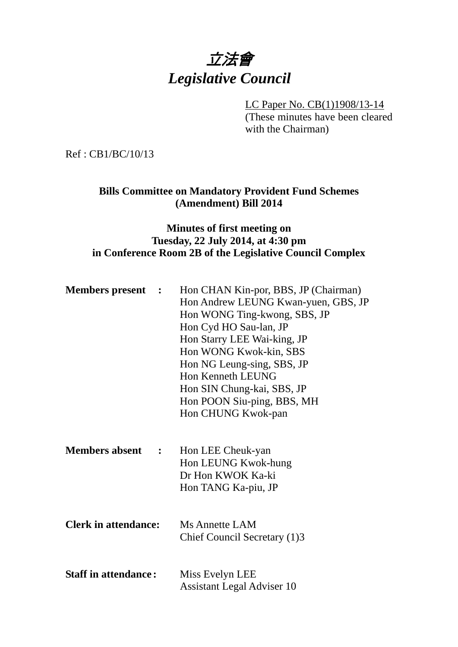# 立法會 *Legislative Council*

#### LC Paper No. CB(1)1908/13-14

(These minutes have been cleared with the Chairman)

Ref : CB1/BC/10/13

### **Bills Committee on Mandatory Provident Fund Schemes (Amendment) Bill 2014**

### **Minutes of first meeting on Tuesday, 22 July 2014, at 4:30 pm in Conference Room 2B of the Legislative Council Complex**

| <b>Members present :</b>    |                                        | Hon CHAN Kin-por, BBS, JP (Chairman)<br>Hon Andrew LEUNG Kwan-yuen, GBS, JP<br>Hon WONG Ting-kwong, SBS, JP<br>Hon Cyd HO Sau-lan, JP<br>Hon Starry LEE Wai-king, JP<br>Hon WONG Kwok-kin, SBS<br>Hon NG Leung-sing, SBS, JP<br>Hon Kenneth LEUNG<br>Hon SIN Chung-kai, SBS, JP<br>Hon POON Siu-ping, BBS, MH<br>Hon CHUNG Kwok-pan |
|-----------------------------|----------------------------------------|-------------------------------------------------------------------------------------------------------------------------------------------------------------------------------------------------------------------------------------------------------------------------------------------------------------------------------------|
| <b>Members absent</b>       | $\mathbf{L}$ . The set of $\mathbf{L}$ | Hon LEE Cheuk-yan<br>Hon LEUNG Kwok-hung<br>Dr Hon KWOK Ka-ki<br>Hon TANG Ka-piu, JP                                                                                                                                                                                                                                                |
| <b>Clerk in attendance:</b> |                                        | Ms Annette LAM<br>Chief Council Secretary (1)3                                                                                                                                                                                                                                                                                      |
| <b>Staff in attendance:</b> |                                        | Miss Evelyn LEE<br><b>Assistant Legal Adviser 10</b>                                                                                                                                                                                                                                                                                |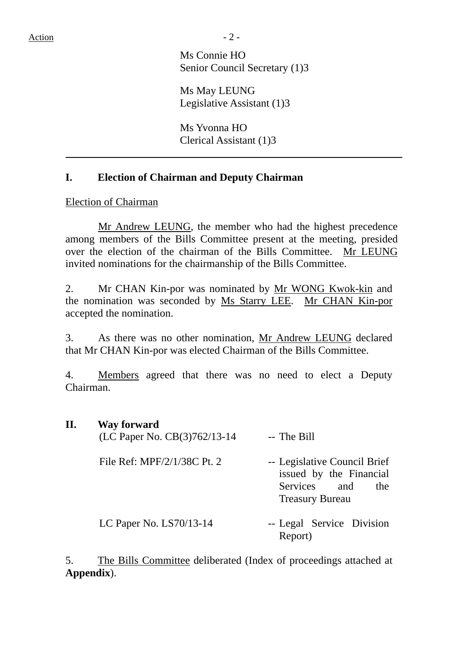Ms Connie HO Senior Council Secretary (1)3

 Ms May LEUNG Legislative Assistant (1)3

 Ms Yvonna HO Clerical Assistant (1)3

#### **I. Election of Chairman and Deputy Chairman**

Election of Chairman

Mr Andrew LEUNG, the member who had the highest precedence among members of the Bills Committee present at the meeting, presided over the election of the chairman of the Bills Committee. Mr LEUNG invited nominations for the chairmanship of the Bills Committee.

2. Mr CHAN Kin-por was nominated by Mr WONG Kwok-kin and the nomination was seconded by Ms Starry LEE. Mr CHAN Kin-por accepted the nomination.

3. As there was no other nomination, Mr Andrew LEUNG declared that Mr CHAN Kin-por was elected Chairman of the Bills Committee.

4. Members agreed that there was no need to elect a Deputy Chairman.

| П. | <b>Way forward</b><br>(LC Paper No. CB(3)762/13-14 | -- The Bill                                                                                              |  |  |
|----|----------------------------------------------------|----------------------------------------------------------------------------------------------------------|--|--|
|    | File Ref: MPF/2/1/38C Pt. 2                        | -- Legislative Council Brief<br>issued by the Financial<br>Services and<br>the<br><b>Treasury Bureau</b> |  |  |
|    | LC Paper No. $LS70/13-14$                          | -- Legal Service Division<br>Report)                                                                     |  |  |

5. The Bills Committee deliberated (Index of proceedings attached at **Appendix**).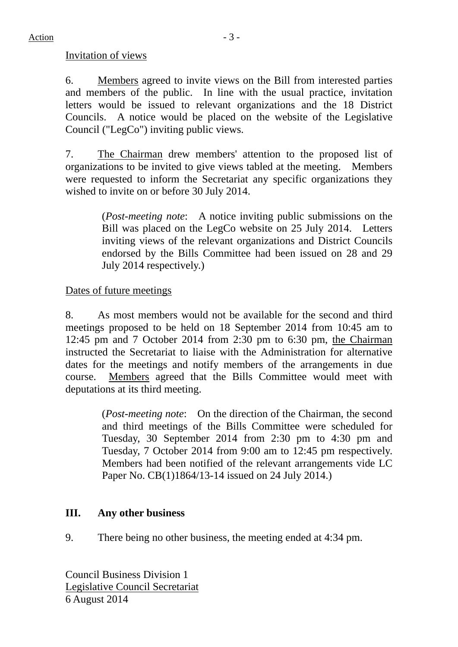Invitation of views

6. Members agreed to invite views on the Bill from interested parties and members of the public. In line with the usual practice, invitation letters would be issued to relevant organizations and the 18 District Councils. A notice would be placed on the website of the Legislative Council ("LegCo") inviting public views.

7. The Chairman drew members' attention to the proposed list of organizations to be invited to give views tabled at the meeting. Members were requested to inform the Secretariat any specific organizations they wished to invite on or before 30 July 2014.

> (*Post-meeting note*: A notice inviting public submissions on the Bill was placed on the LegCo website on 25 July 2014. Letters inviting views of the relevant organizations and District Councils endorsed by the Bills Committee had been issued on 28 and 29 July 2014 respectively.)

## Dates of future meetings

8. As most members would not be available for the second and third meetings proposed to be held on 18 September 2014 from 10:45 am to 12:45 pm and 7 October 2014 from 2:30 pm to 6:30 pm, the Chairman instructed the Secretariat to liaise with the Administration for alternative dates for the meetings and notify members of the arrangements in due course. Members agreed that the Bills Committee would meet with deputations at its third meeting.

> (*Post-meeting note*: On the direction of the Chairman, the second and third meetings of the Bills Committee were scheduled for Tuesday, 30 September 2014 from 2:30 pm to 4:30 pm and Tuesday, 7 October 2014 from 9:00 am to 12:45 pm respectively. Members had been notified of the relevant arrangements vide LC Paper No. CB(1)1864/13-14 issued on 24 July 2014.)

## **III. Any other business**

9. There being no other business, the meeting ended at 4:34 pm.

Council Business Division 1 Legislative Council Secretariat 6 August 2014